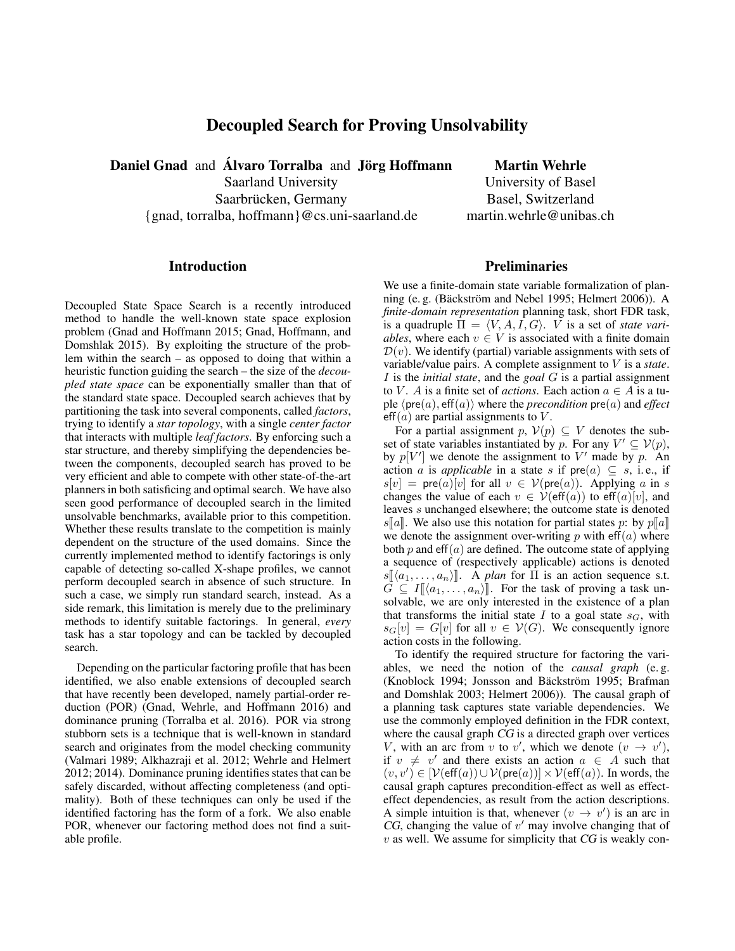# Decoupled Search for Proving Unsolvability

Daniel Gnad and Álvaro Torralba and Jörg Hoffmann Martin Wehrle

Saarland University University University of Basel Saarbrücken, Germany Basel, Switzerland {gnad, torralba, hoffmann}@cs.uni-saarland.de martin.wehrle@unibas.ch

#### Introduction

Decoupled State Space Search is a recently introduced method to handle the well-known state space explosion problem (Gnad and Hoffmann 2015; Gnad, Hoffmann, and Domshlak 2015). By exploiting the structure of the problem within the search – as opposed to doing that within a heuristic function guiding the search – the size of the *decoupled state space* can be exponentially smaller than that of the standard state space. Decoupled search achieves that by partitioning the task into several components, called *factors*, trying to identify a *star topology*, with a single *center factor* that interacts with multiple *leaf factors*. By enforcing such a star structure, and thereby simplifying the dependencies between the components, decoupled search has proved to be very efficient and able to compete with other state-of-the-art planners in both satisficing and optimal search. We have also seen good performance of decoupled search in the limited unsolvable benchmarks, available prior to this competition. Whether these results translate to the competition is mainly dependent on the structure of the used domains. Since the currently implemented method to identify factorings is only capable of detecting so-called X-shape profiles, we cannot perform decoupled search in absence of such structure. In such a case, we simply run standard search, instead. As a side remark, this limitation is merely due to the preliminary methods to identify suitable factorings. In general, *every* task has a star topology and can be tackled by decoupled search.

Depending on the particular factoring profile that has been identified, we also enable extensions of decoupled search that have recently been developed, namely partial-order reduction (POR) (Gnad, Wehrle, and Hoffmann 2016) and dominance pruning (Torralba et al. 2016). POR via strong stubborn sets is a technique that is well-known in standard search and originates from the model checking community (Valmari 1989; Alkhazraji et al. 2012; Wehrle and Helmert 2012; 2014). Dominance pruning identifies states that can be safely discarded, without affecting completeness (and optimality). Both of these techniques can only be used if the identified factoring has the form of a fork. We also enable POR, whenever our factoring method does not find a suitable profile.

# **Preliminaries**

We use a finite-domain state variable formalization of planning (e. g. (Bäckström and Nebel 1995; Helmert 2006)). A *finite-domain representation* planning task, short FDR task, is a quadruple  $\Pi = \langle V, A, I, G \rangle$ . *V* is a set of *state variables*, where each  $v \in V$  is associated with a finite domain  $\mathcal{D}(v)$ . We identify (partial) variable assignments with sets of variable/value pairs. A complete assignment to V is a *state*. I is the *initial state*, and the *goal* G is a partial assignment to V. A is a finite set of *actions*. Each action  $a \in A$  is a tuple  $\langle \text{pre}(a), \text{eff}(a) \rangle$  where the *precondition*  $\text{pre}(a)$  and *effect*  $eff(a)$  are partial assignments to V.

For a partial assignment p,  $V(p) \subseteq V$  denotes the subset of state variables instantiated by p. For any  $V' \subseteq V(p)$ , by  $p[V']$  we denote the assignment to V' made by p. An action a is *applicable* in a state s if  $pre(a) \subseteq s$ , i.e., if  $s[v] = \text{pre}(a)[v]$  for all  $v \in V(\text{pre}(a))$ . Applying a in s changes the value of each  $v \in V(\text{eff}(a))$  to  $\text{eff}(a)[v]$ , and leaves s unchanged elsewhere; the outcome state is denoted s[a]. We also use this notation for partial states p: by  $p[a]$ we denote the assignment over-writing  $p$  with eff $(a)$  where both p and  $eff(a)$  are defined. The outcome state of applying a sequence of (respectively applicable) actions is denoted  $s[\langle a_1, \ldots, a_n \rangle]$ . A *plan* for  $\Pi$  is an action sequence s.t.  $\overline{G} \subseteq I[(a_1, \ldots, a_n)]$ . For the task of proving a task unsolvable, we are only interested in the existence of a plan that transforms the initial state I to a goal state  $s_G$ , with  $s_G[v] = G[v]$  for all  $v \in V(G)$ . We consequently ignore action costs in the following.

To identify the required structure for factoring the variables, we need the notion of the *causal graph* (e. g. (Knoblock 1994; Jonsson and Bäckström 1995; Brafman and Domshlak 2003; Helmert 2006)). The causal graph of a planning task captures state variable dependencies. We use the commonly employed definition in the FDR context, where the causal graph CG is a directed graph over vertices V, with an arc from v to v', which we denote  $(v \rightarrow v')$ , if  $v \neq v'$  and there exists an action  $a \in A$  such that  $(v, v') \in [\mathcal{V}(\mathsf{eff}(a)) \cup \mathcal{V}(\mathsf{pre}(a))] \times \mathcal{V}(\mathsf{eff}(a))$ . In words, the causal graph captures precondition-effect as well as effecteffect dependencies, as result from the action descriptions. A simple intuition is that, whenever  $(v \rightarrow v')$  is an arc in CG, changing the value of  $v'$  may involve changing that of  $v$  as well. We assume for simplicity that  $CG$  is weakly con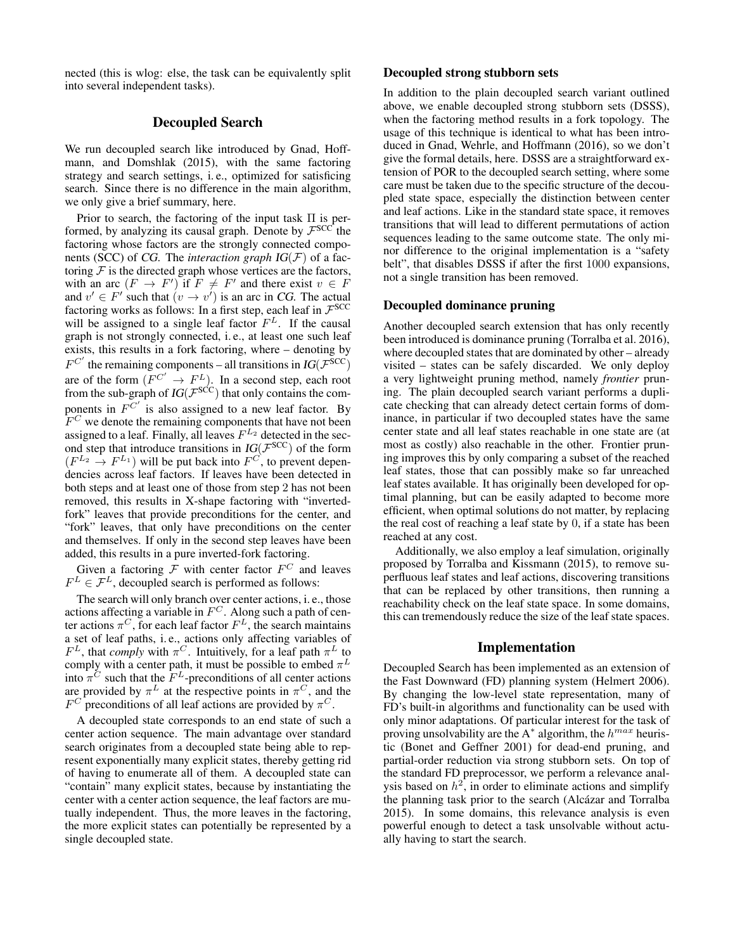nected (this is wlog: else, the task can be equivalently split into several independent tasks).

## Decoupled Search

We run decoupled search like introduced by Gnad, Hoffmann, and Domshlak (2015), with the same factoring strategy and search settings, i. e., optimized for satisficing search. Since there is no difference in the main algorithm, we only give a brief summary, here.

Prior to search, the factoring of the input task  $\Pi$  is performed, by analyzing its causal graph. Denote by  $\mathcal{F}^{SCC}$  the factoring whose factors are the strongly connected components (SCC) of CG. The *interaction graph* IG(F) of a factoring  $F$  is the directed graph whose vertices are the factors, with an arc  $(F \to F')$  if  $F \neq F'$  and there exist  $v \in F$ and  $v' \in F'$  such that  $(v \to v')$  is an arc in CG. The actual factoring works as follows: In a first step, each leaf in  $\mathcal{F}^{SCC}$ will be assigned to a single leaf factor  $F<sup>L</sup>$ . If the causal graph is not strongly connected, i. e., at least one such leaf exists, this results in a fork factoring, where – denoting by  $F^{C'}$  the remaining components – all transitions in  $IG(\mathcal{F}^{SCC})$ are of the form  $(F^{C'} \to F^L)$ . In a second step, each root from the sub-graph of  $IG(\mathcal{F}^{SCC})$  that only contains the components in  $F^{C'}$  is also assigned to a new leaf factor. By  $F^C$  we denote the remaining components that have not been assigned to a leaf. Finally, all leaves  $F^{L_2}$  detected in the second step that introduce transitions in  $IG(\mathcal{F}^{SCC})$  of the form  $(F^{L_2} \rightarrow F^{L_1})$  will be put back into  $F^C$ , to prevent dependencies across leaf factors. If leaves have been detected in both steps and at least one of those from step 2 has not been removed, this results in X-shape factoring with "invertedfork" leaves that provide preconditions for the center, and "fork" leaves, that only have preconditions on the center and themselves. If only in the second step leaves have been added, this results in a pure inverted-fork factoring.

Given a factoring  $\mathcal F$  with center factor  $F^C$  and leaves  $F^L \in \mathcal{F}^L$ , decoupled search is performed as follows:

The search will only branch over center actions, i. e., those actions affecting a variable in  $F^C$ . Along such a path of center actions  $\pi^C$ , for each leaf factor  $F^L$ , the search maintains a set of leaf paths, i. e., actions only affecting variables of  $F<sup>L</sup>$ , that *comply* with  $\pi<sup>C</sup>$ . Intuitively, for a leaf path  $\pi<sup>L</sup>$  to comply with a center path, it must be possible to embed  $\pi^L$ into  $\pi^C$  such that the  $F^L$ -preconditions of all center actions are provided by  $\pi^L$  at the respective points in  $\pi^C$ , and the  $F^C$  preconditions of all leaf actions are provided by  $\pi^C$ .

A decoupled state corresponds to an end state of such a center action sequence. The main advantage over standard search originates from a decoupled state being able to represent exponentially many explicit states, thereby getting rid of having to enumerate all of them. A decoupled state can "contain" many explicit states, because by instantiating the center with a center action sequence, the leaf factors are mutually independent. Thus, the more leaves in the factoring, the more explicit states can potentially be represented by a single decoupled state.

#### Decoupled strong stubborn sets

In addition to the plain decoupled search variant outlined above, we enable decoupled strong stubborn sets (DSSS), when the factoring method results in a fork topology. The usage of this technique is identical to what has been introduced in Gnad, Wehrle, and Hoffmann (2016), so we don't give the formal details, here. DSSS are a straightforward extension of POR to the decoupled search setting, where some care must be taken due to the specific structure of the decoupled state space, especially the distinction between center and leaf actions. Like in the standard state space, it removes transitions that will lead to different permutations of action sequences leading to the same outcome state. The only minor difference to the original implementation is a "safety belt", that disables DSSS if after the first 1000 expansions, not a single transition has been removed.

#### Decoupled dominance pruning

Another decoupled search extension that has only recently been introduced is dominance pruning (Torralba et al. 2016), where decoupled states that are dominated by other – already visited – states can be safely discarded. We only deploy a very lightweight pruning method, namely *frontier* pruning. The plain decoupled search variant performs a duplicate checking that can already detect certain forms of dominance, in particular if two decoupled states have the same center state and all leaf states reachable in one state are (at most as costly) also reachable in the other. Frontier pruning improves this by only comparing a subset of the reached leaf states, those that can possibly make so far unreached leaf states available. It has originally been developed for optimal planning, but can be easily adapted to become more efficient, when optimal solutions do not matter, by replacing the real cost of reaching a leaf state by 0, if a state has been reached at any cost.

Additionally, we also employ a leaf simulation, originally proposed by Torralba and Kissmann (2015), to remove superfluous leaf states and leaf actions, discovering transitions that can be replaced by other transitions, then running a reachability check on the leaf state space. In some domains, this can tremendously reduce the size of the leaf state spaces.

## Implementation

Decoupled Search has been implemented as an extension of the Fast Downward (FD) planning system (Helmert 2006). By changing the low-level state representation, many of FD's built-in algorithms and functionality can be used with only minor adaptations. Of particular interest for the task of proving unsolvability are the A<sup>\*</sup> algorithm, the  $h^{max}$  heuristic (Bonet and Geffner 2001) for dead-end pruning, and partial-order reduction via strong stubborn sets. On top of the standard FD preprocessor, we perform a relevance analysis based on  $h^2$ , in order to eliminate actions and simplify the planning task prior to the search (Alcázar and Torralba 2015). In some domains, this relevance analysis is even powerful enough to detect a task unsolvable without actually having to start the search.